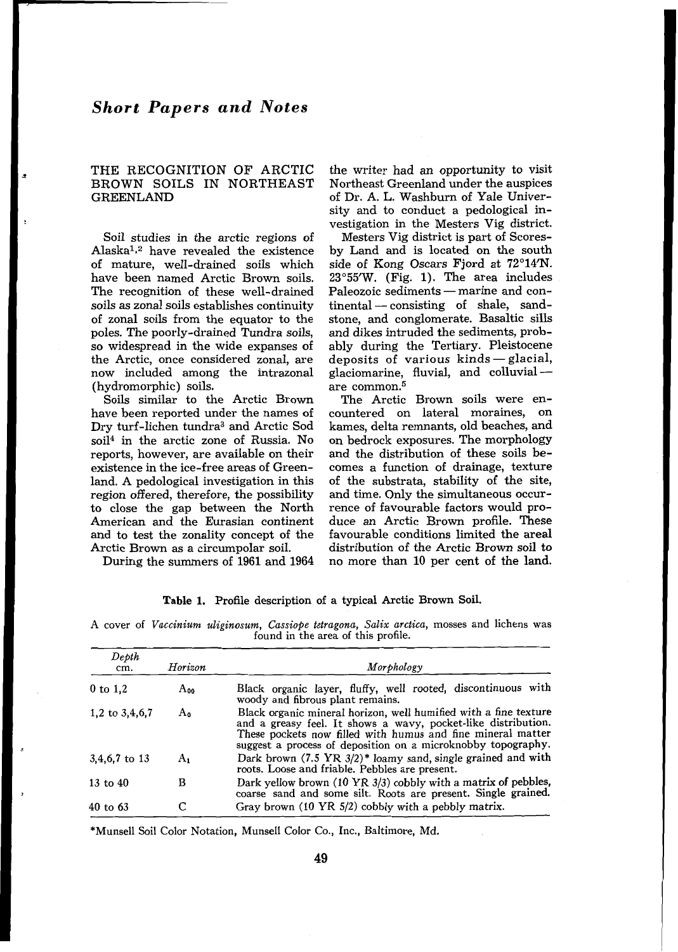## THE RECOGNITION OF ARCTIC BROWN SOILS IN NORTHEAST GREENLAND

Soil studies in the arctic regions of Alaska<sup>1,2</sup> have revealed the existence of mature, well-drained soils which have been named Arctic Brown soils. The recognition of these well-drained soils as zonal soils establishes continuity of zonal soils from the equator to the poles. The poorly-drained Tundra soils, so widespread in the wide expanses of the Arctic, once considered zonal, are now included among the intrazonal (hydromorphic) soils.

Soils imilar to the Arctic Brown have been reported under the names of Dry turf-lichen tundra3 and Arctic Sod soil4 in the arctic zone of Russia. No reports, however, are available on their existence in the ice-free areas of Greenland. A pedological investigation in this region offered, therefore, the possibility to close the gap between the North American and the Eurasian continent and to test the zonality concept of the Arctic Brown as a circumpolar soil.

the writer had an opportunity to visit Northeast Greenland under the auspices of Dr. A. L. Washburn of Yale University and to conduct a pedological investigation in the Mesters Vig district.

Mesters Vig district is part of Scoresby Land and is located on the south side of Kong Oscars Fjord at **72'14'N. 23'55'W.** (Fig. **1).** The area includes side of Kong Oscars Fjord at 72°14′N.<br>23°55′W. (Fig. 1). The area includes<br>Paleozoic sediments — marine and con-Paleozoic sediments — marine and con-<br>tinental — consisting of shale, sandstone, and conglomerate. Basaltic sills and dikes intruded the sediments, probably during the Tertiary. Pleistocene deposits of various kinds-glacial, glaciomarine, fluvial, and colluvial  $-$ <br>are common.<sup>5</sup>

The Arctic Brown soils were encountered on lateral moraines, on kames, delta remnants, old beaches, and on bedrock exposures. The morphology and the distribution of these soils becomes a function of drainage, texture of the substrata, stability of the site, and time. Only the simultaneous occurrence of favourable factors would produce an Arctic Brown profile. These favourable conditions limited the areal distribution of the Arctic Brown soil to no more than **10** per cent of the land.

During the summers of **1961** and **1964** 

| Table 1. Profile description of a typical Arctic Brown Soil. |  |  |  |
|--------------------------------------------------------------|--|--|--|
|--------------------------------------------------------------|--|--|--|

|  |  | A cover of Vaccinium uliginosum, Cassiope tetragona, Salix arctica, mosses and lichens was |                                    |  |  |  |
|--|--|--------------------------------------------------------------------------------------------|------------------------------------|--|--|--|
|  |  |                                                                                            | found in the area of this profile. |  |  |  |

| Deoth<br>cm.     | Horizon  | Morphology                                                                                                                                                                                                                                                       |
|------------------|----------|------------------------------------------------------------------------------------------------------------------------------------------------------------------------------------------------------------------------------------------------------------------|
| $0$ to $1,2$     | $A_{00}$ | Black organic layer, fluffy, well rooted, discontinuous with<br>woody and fibrous plant remains.                                                                                                                                                                 |
| 1,2 to $3,4,6,7$ | Ao       | Black organic mineral horizon, well humified with a fine texture<br>and a greasy feel. It shows a wavy, pocket-like distribution.<br>These pockets now filled with humus and fine mineral matter<br>suggest a process of deposition on a microknobby topography. |
| 3,4,6,7 to 13    | $A_1$    | Dark brown $(7.5 \text{ YR } 3/2)^*$ loamy sand, single grained and with<br>roots. Loose and friable. Pebbles are present.                                                                                                                                       |
| $13$ to $40$     | в        | Dark yellow brown $(10 \text{ YR } 3/3)$ cobbly with a matrix of pebbles,<br>coarse sand and some silt. Roots are present. Single grained.                                                                                                                       |
| $40$ to $63$     |          | Gray brown $(10 \text{ YR } 5/2)$ cobbly with a pebbly matrix.                                                                                                                                                                                                   |

\*Mumell Soil Color Notation, Munsell Color *Co.,* Inc., Baltimore, Md.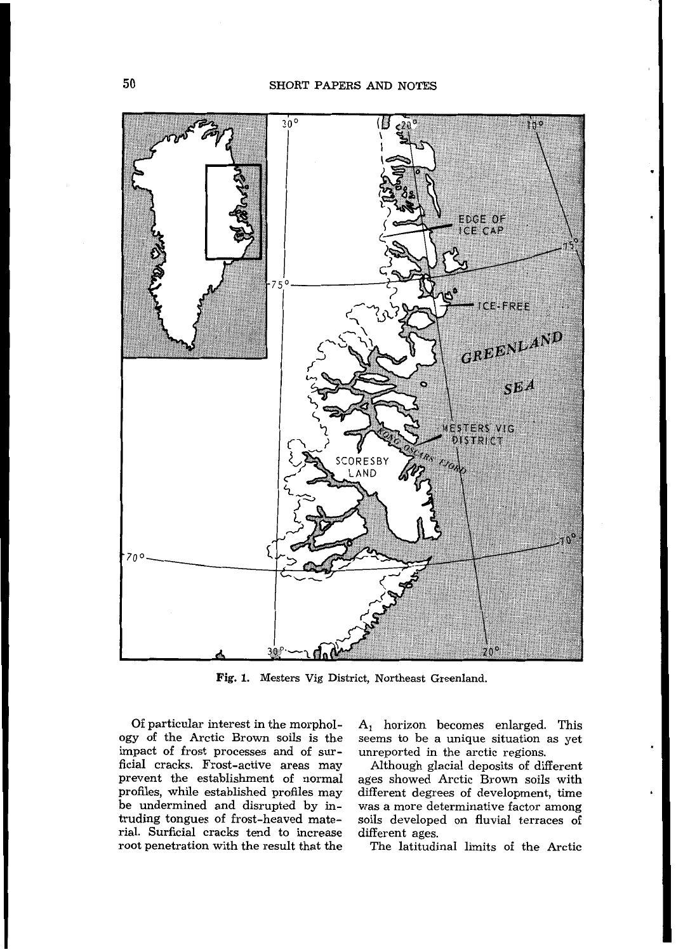

**Fig. 1.** Mesters Vig District, Northeast Greenland.

Of particular interest in the morphology of the Arctic Brown soils is the impact of frost processes and of surficial cracks. Frost-active areas may prevent he establishment of normal profiles, while established profiles may be undermined and disrupted by intruding tongues of frost-heaved material. Surficial cracks tend to increase root penetration with the result that the

 $A_1$  horizon becomes enlarged. This seems to be a unique situation as yet unreported in the arctic regions.

Although glacial deposits of different ages showed Arctic Brown soils with different degrees of development, time was a more determinative factor among soils developed on fluvial terraces of different ages.

The latitudinal limits of the Arctic